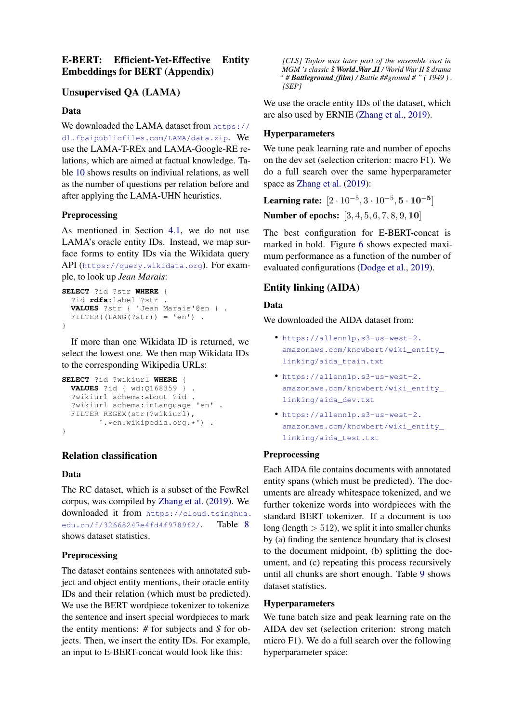## E-BERT: Efficient-Yet-Effective Entity Embeddings for BERT (Appendix)

## Unsupervised QA (LAMA)

#### Data

We downloaded the LAMA dataset from [https://](https://dl.fbaipublicfiles.com/LAMA/data.zip) [dl.fbaipublicfiles.com/LAMA/data.zip](https://dl.fbaipublicfiles.com/LAMA/data.zip). We use the LAMA-T-REx and LAMA-Google-RE relations, which are aimed at factual knowledge. Table [10](#page-2-0) shows results on indiviual relations, as well as the number of questions per relation before and after applying the LAMA-UHN heuristics.

### Preprocessing

As mentioned in Section [4.1,](#page--1-0) we do not use LAMA's oracle entity IDs. Instead, we map surface forms to entity IDs via the Wikidata query API (<https://query.wikidata.org>). For example, to look up *Jean Marais*:

```
SELECT ?id ?str WHERE {
  ?id rdfs:label ?str .
  VALUES ?str { 'Jean Marais'@en } .
 FILTER((LANG(?str)) = 'en') .
}
```
If more than one Wikidata ID is returned, we select the lowest one. We then map Wikidata IDs to the corresponding Wikipedia URLs:

```
SELECT ?id ?wikiurl WHERE {
 VALUES ?id { wd:Q168359 } .
  ?wikiurl schema:about ?id .
  ?wikiurl schema:inLanguage 'en' .
  FILTER REGEX(str(?wikiurl),
        '.*en.wikipedia.org.*') .
}
```
## Relation classification

#### Data

The RC dataset, which is a subset of the FewRel corpus, was compiled by [Zhang et al.](#page--1-1) [\(2019\)](#page--1-1). We downloaded it from [https://cloud.tsinghua.](https://cloud.tsinghua.edu.cn/f/32668247e4fd4f9789f2/) [edu.cn/f/32668247e4fd4f9789f2/](https://cloud.tsinghua.edu.cn/f/32668247e4fd4f9789f2/). Table [8](#page-1-0) shows dataset statistics.

#### Preprocessing

The dataset contains sentences with annotated subject and object entity mentions, their oracle entity IDs and their relation (which must be predicted). We use the BERT wordpiece tokenizer to tokenize the sentence and insert special wordpieces to mark the entity mentions: *#* for subjects and *\$* for objects. Then, we insert the entity IDs. For example, an input to E-BERT-concat would look like this:

*[CLS] Taylor was later part of the ensemble cast in MGM 's classic \$ World War II / World War II \$ drama " # Battleground (film) / Battle ##ground # " ( 1949 ) . [SEP]*

We use the oracle entity IDs of the dataset, which are also used by ERNIE [\(Zhang et al.,](#page--1-1) [2019\)](#page--1-1).

#### Hyperparameters

We tune peak learning rate and number of epochs on the dev set (selection criterion: macro F1). We do a full search over the same hyperparameter space as [Zhang et al.](#page--1-1) [\(2019\)](#page--1-1):

Learning rate:  $[2 \cdot 10^{-5}, 3 \cdot 10^{-5}, 5 \cdot 10^{-5}]$ 

Number of epochs: [3, 4, 5, 6, 7, 8, 9, 10]

The best configuration for E-BERT-concat is marked in bold. Figure [6](#page-1-1) shows expected maximum performance as a function of the number of evaluated configurations [\(Dodge et al.,](#page--1-2) [2019\)](#page--1-2).

## Entity linking (AIDA)

#### Data

We downloaded the AIDA dataset from:

- [https://allennlp.s3-us-west-2.](https://allennlp.s3-us-west-2.amazonaws.com/knowbert/wiki_entity_linking/aida_train.txt) [amazonaws.com/knowbert/wiki\\_entity\\_](https://allennlp.s3-us-west-2.amazonaws.com/knowbert/wiki_entity_linking/aida_train.txt) [linking/aida\\_train.txt](https://allennlp.s3-us-west-2.amazonaws.com/knowbert/wiki_entity_linking/aida_train.txt)
- [https://allennlp.s3-us-west-2.](https://allennlp.s3-us-west-2.amazonaws.com/knowbert/wiki_entity_linking/aida_dev.txt) [amazonaws.com/knowbert/wiki\\_entity\\_](https://allennlp.s3-us-west-2.amazonaws.com/knowbert/wiki_entity_linking/aida_dev.txt) [linking/aida\\_dev.txt](https://allennlp.s3-us-west-2.amazonaws.com/knowbert/wiki_entity_linking/aida_dev.txt)
- [https://allennlp.s3-us-west-2.](https://allennlp.s3-us-west-2.amazonaws.com/knowbert/wiki_entity_linking/aida_test.txt) [amazonaws.com/knowbert/wiki\\_entity\\_](https://allennlp.s3-us-west-2.amazonaws.com/knowbert/wiki_entity_linking/aida_test.txt) [linking/aida\\_test.txt](https://allennlp.s3-us-west-2.amazonaws.com/knowbert/wiki_entity_linking/aida_test.txt)

#### **Preprocessing**

Each AIDA file contains documents with annotated entity spans (which must be predicted). The documents are already whitespace tokenized, and we further tokenize words into wordpieces with the standard BERT tokenizer. If a document is too long (length  $> 512$ ), we split it into smaller chunks by (a) finding the sentence boundary that is closest to the document midpoint, (b) splitting the document, and (c) repeating this process recursively until all chunks are short enough. Table [9](#page-1-2) shows dataset statistics.

#### Hyperparameters

We tune batch size and peak learning rate on the AIDA dev set (selection criterion: strong match micro F1). We do a full search over the following hyperparameter space: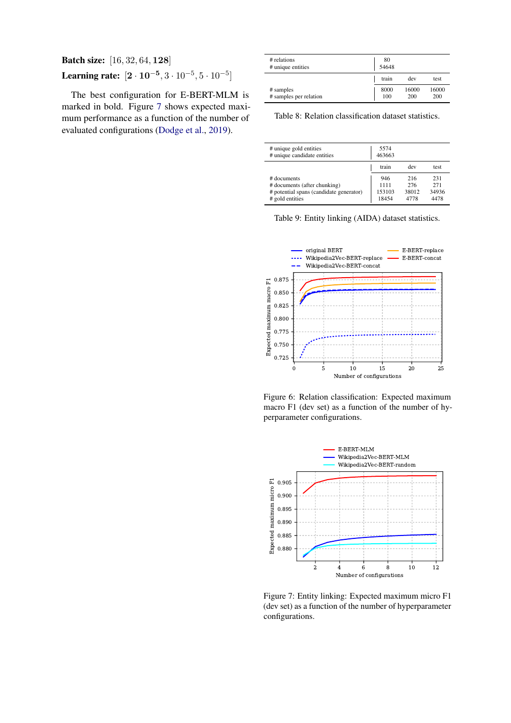# Batch size: [16, 32, 64, 128] Learning rate:  $[2 \cdot 10^{-5}, 3 \cdot 10^{-5}, 5 \cdot 10^{-5}]$

The best configuration for E-BERT-MLM is marked in bold. Figure [7](#page-1-3) shows expected maximum performance as a function of the number of evaluated configurations [\(Dodge et al.,](#page--1-2) [2019\)](#page--1-2).

<span id="page-1-0"></span>

| # relations<br># unique entities    | 80<br>54648 |              |              |  |  |  |  |
|-------------------------------------|-------------|--------------|--------------|--|--|--|--|
|                                     | train       | dev          | test         |  |  |  |  |
| # samples<br># samples per relation | 8000<br>100 | 16000<br>200 | 16000<br>200 |  |  |  |  |

Table 8: Relation classification dataset statistics.

<span id="page-1-2"></span>

| # unique gold entities<br># unique candidate entities | 5574<br>463663 |       |       |
|-------------------------------------------------------|----------------|-------|-------|
|                                                       | train          | dev   | test. |
| # documents                                           | 946            | 216   | 231   |
| # documents (after chunking)                          | 1111           | 276   | 271   |
| # potential spans (candidate generator)               | 153103         | 38012 | 34936 |
| # gold entities                                       | 18454          | 4778  | 4478  |



<span id="page-1-1"></span>

Figure 6: Relation classification: Expected maximum macro F1 (dev set) as a function of the number of hyperparameter configurations.

<span id="page-1-3"></span>

Figure 7: Entity linking: Expected maximum micro F1 (dev set) as a function of the number of hyperparameter configurations.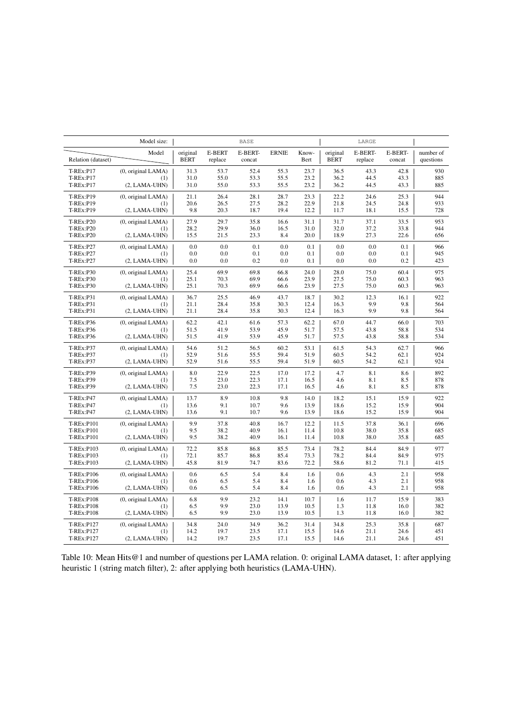<span id="page-2-0"></span>

|                                        | Model size:                                  |                         |                          | <b>BASE</b>       |              |               |                         | LARGE              |                   |                        |
|----------------------------------------|----------------------------------------------|-------------------------|--------------------------|-------------------|--------------|---------------|-------------------------|--------------------|-------------------|------------------------|
| Relation (dataset)                     | Model                                        | original<br><b>BERT</b> | <b>E-BERT</b><br>replace | E-BERT-<br>concat | <b>ERNIE</b> | Know-<br>Bert | original<br><b>BERT</b> | E-BERT-<br>replace | E-BERT-<br>concat | number of<br>questions |
| <b>T-REx:P17</b>                       | (0, original LAMA)                           | 31.3                    | 53.7                     | 52.4              | 55.3         | 23.7          | 36.5                    | 43.3               | 42.8              | 930                    |
| $T-REx:PI7$                            | (1)                                          | 31.0                    | 55.0                     | 53.3              | 55.5         | 23.2          | 36.2                    | 44.5               | 43.3              | 885                    |
| T-REx:P17                              | $(2, LAMA-UHN)$                              | 31.0                    | 55.0                     | 53.3              | 55.5         | 23.2          | 36.2                    | 44.5               | 43.3              | 885                    |
| T-REx:P19                              | (0, original LAMA)                           | 21.1                    | 26.4                     | 28.1              | 28.7         | 23.3          | 22.2                    | 24.6               | 25.3              | 944                    |
| <b>T-REx:P19</b>                       | (1)                                          | 20.6                    | 26.5                     | 27.5              | 28.2         | 22.9          | 21.8                    | 24.5               | 24.8              | 933                    |
| T-REx:P19<br><b>T-REx:P20</b>          | $(2, LAMA-UHN)$<br>(0, original LAMA)        | 9.8<br>27.9             | 20.3<br>29.7             | 18.7<br>35.8      | 19.4<br>16.6 | 12.2<br>31.1  | 11.7<br>31.7            | 18.1<br>37.1       | 15.5<br>33.5      | 728<br>953<br>944      |
| <b>T-REx:P20</b>                       | (1)                                          | 28.2                    | 29.9                     | 36.0              | 16.5         | 31.0          | 32.0                    | 37.2               | 33.8              | 656                    |
| <b>T-REx:P20</b>                       | $(2, LAMA-UHN)$                              | 15.5                    | 21.5                     | 23.3              | 8.4          | 20.0          | 18.9                    | 27.3               | 22.6              |                        |
| <b>T-REx:P27</b>                       | (0, original LAMA)                           | 0.0                     | 0.0                      | 0.1               | 0.0          | 0.1           | 0.0                     | 0.0                | 0.1               | 966                    |
| <b>T-REx:P27</b>                       | (1)                                          | 0.0                     | 0.0                      | 0.1               | 0.0          | 0.1           | 0.0                     | 0.0                | 0.1               | 945                    |
| <b>T-REx:P27</b>                       | $(2, LAMA-UHN)$                              | 0.0                     | 0.0                      | 0.2               | 0.0          | 0.1           | 0.0                     | 0.0                | 0.2               | 423                    |
| <b>T-REx:P30</b>                       | (0, original LAMA)                           | 25.4                    | 69.9                     | 69.8              | 66.8         | 24.0          | 28.0                    | 75.0               | 60.4              | 975                    |
| <b>T-REx:P30</b>                       | (1)                                          | 25.1                    | 70.3                     | 69.9              | 66.6         | 23.9          | 27.5                    | 75.0               | 60.3              | 963                    |
| <b>T-REx:P30</b>                       | $(2, LAMA-UHN)$                              | 25.1                    | 70.3                     | 69.9              | 66.6         | 23.9          | 27.5                    | 75.0               | 60.3              | 963                    |
| T-REx:P31                              | (0, original LAMA)                           | 36.7                    | 25.5                     | 46.9              | 43.7         | 18.7          | 30.2                    | 12.3               | 16.1              | 922                    |
| T-REx:P31                              | (1)                                          | 21.1                    | 28.4                     | 35.8              | 30.3         | 12.4          | 16.3                    | 9.9                | 9.8               | 564                    |
| T-REx:P31                              | $(2, LAMA-UHN)$                              | 21.1                    | 28.4                     | 35.8              | 30.3         | 12.4          | 16.3                    | 9.9                | 9.8               | 564                    |
| <b>T-REx:P36</b>                       | (0, original LAMA)                           | 62.2                    | 42.1                     | 61.6              | 57.3         | 62.2          | 67.0                    | 44.7               | 66.0              | 703                    |
| T-REx:P36                              | (1)                                          | 51.5                    | 41.9                     | 53.9              | 45.9         | 51.7          | 57.5                    | 43.8               | 58.8              | 534                    |
| T-REx:P36                              | $(2, LAMA-UHN)$                              | 51.5                    | 41.9                     | 53.9              | 45.9         | 51.7          | 57.5                    | 43.8               | 58.8              | 534                    |
| <b>T-REx:P37</b>                       | (0, original LAMA)                           | 54.6                    | 51.2                     | 56.5              | 60.2         | 53.1          | 61.5                    | 54.3               | 62.7              | 966                    |
| <b>T-REx:P37</b>                       | (1)                                          | 52.9                    | 51.6                     | 55.5              | 59.4         | 51.9          | 60.5                    | 54.2               | 62.1              | 924                    |
| <b>T-REx:P37</b>                       | $(2, LAMA-UHN)$                              | 52.9                    | 51.6                     | 55.5              | 59.4         | 51.9          | 60.5                    | 54.2               | 62.1              | 924                    |
| <b>T-REx:P39</b>                       | (0, original LAMA)                           | 8.0                     | 22.9                     | 22.5              | 17.0         | 17.2          | 4.7                     | 8.1                | 8.6               | 892                    |
| <b>T-REx:P39</b>                       | (1)                                          | 7.5                     | 23.0                     | 22.3              | 17.1         | 16.5          | 4.6                     | 8.1                | 8.5               | 878                    |
| <b>T-REx:P39</b>                       | $(2, LAMA-UHN)$                              | 7.5                     | 23.0                     | 22.3              | 17.1         | 16.5          | 4.6                     | 8.1                | 8.5               | 878                    |
| <b>T-REx:P47</b>                       | (0, original LAMA)                           | 13.7                    | 8.9                      | 10.8              | 9.8          | 14.0          | 18.2                    | 15.1               | 15.9              | 922                    |
| <b>T-REx:P47</b>                       | (1)                                          | 13.6                    | 9.1                      | 10.7              | 9.6          | 13.9          | 18.6                    | 15.2               | 15.9              | 904                    |
| <b>T-REx:P47</b>                       | $(2, LAMA-UHN)$                              | 13.6                    | 9.1                      | 10.7              | 9.6          | 13.9          | 18.6                    | 15.2               | 15.9              | 904                    |
| <b>T-REx:P101</b>                      | (0, original LAMA)                           | 9.9                     | 37.8                     | 40.8              | 16.7         | 12.2          | 11.5                    | 37.8               | 36.1              | 696                    |
| T-REx:P101                             | (1)                                          | 9.5                     | 38.2                     | 40.9              | 16.1         | 11.4          | 10.8                    | 38.0               | 35.8              | 685                    |
| T-REx:P101                             | $(2, LAMA-UHN)$                              | 9.5<br>72.2             | 38.2<br>85.8             | 40.9<br>86.8      | 16.1<br>85.5 | 11.4<br>73.4  | 10.8<br>78.2            | 38.0<br>84.4       | 35.8<br>84.9      | 685<br>977             |
| T-REx:P103<br>T-REx:P103<br>T-REx:P103 | (0, original LAMA)<br>(1)<br>$(2, LAMA-UHN)$ | 72.1<br>45.8            | 85.7<br>81.9             | 86.8<br>74.7      | 85.4<br>83.6 | 73.3<br>72.2  | 78.2<br>58.6            | 84.4<br>81.2       | 84.9<br>71.1      | 975<br>415             |
| T-REx:P106                             | (0, original LAMA)                           | 0.6                     | 6.5                      | 5.4               | 8.4          | 1.6           | 0.6                     | 4.3                | 2.1               | 958                    |
| T-REx:P106                             | (1)                                          | 0.6                     | 6.5                      | 5.4               | 8.4          | 1.6           | 0.6                     | 4.3                | 2.1               | 958                    |
| <b>T-REx:P106</b>                      | $(2, LAMA-UHN)$                              | 0.6                     | 6.5                      | 5.4               | 8.4          | 1.6           | 0.6                     | 4.3                | 2.1               | 958                    |
| <b>T-REx:P108</b>                      | (0, original LAMA)                           | 6.8                     | 9.9                      | 23.2              | 14.1         | 10.7          | 1.6                     | 11.7               | 15.9              | 383                    |
| <b>T-REx:P108</b>                      | (1)                                          | 6.5                     | 9.9                      | 23.0              | 13.9         | 10.5          | 1.3                     | 11.8               | 16.0              | 382                    |
| <b>T-REx:P108</b>                      | $(2, LAMA-UHN)$                              | 6.5                     | 9.9                      | 23.0              | 13.9         | 10.5          | 1.3                     | 11.8               | 16.0              | 382                    |
| T-REx:P127                             | (0, original LAMA)                           | 34.8                    | 24.0                     | 34.9              | 36.2         | 31.4          | 34.8                    | 25.3               | 35.8              | 687                    |
| T-REx:P127                             | (1)                                          | 14.2                    | 19.7                     | 23.5              | 17.1         | 15.5          | 14.6                    | 21.1               | 24.6              | 451                    |
| T-REx:P127                             | $(2, LAMA-UHN)$                              | 14.2                    | 19.7                     | 23.5              | 17.1         | 15.5          | 14.6                    | 21.1               | 24.6              | 451                    |

Table 10: Mean Hits@1 and number of questions per LAMA relation. 0: original LAMA dataset, 1: after applying heuristic 1 (string match filter), 2: after applying both heuristics (LAMA-UHN).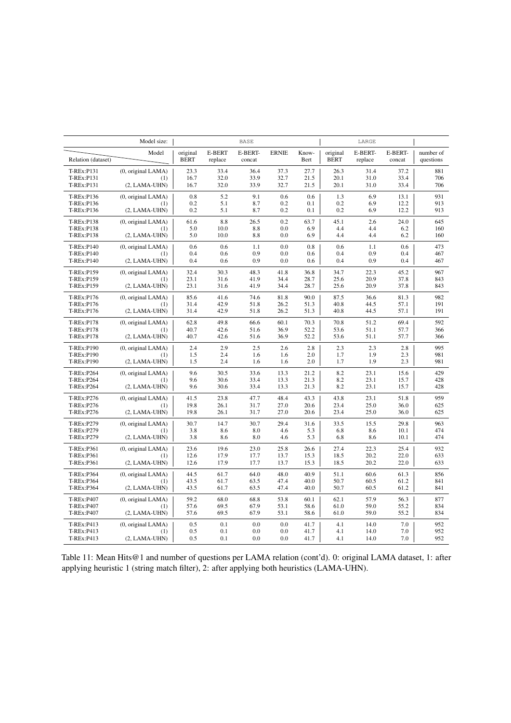|                    | Model size:        |                         |                          | <b>BASE</b>       |              |               |                         | LARGE              |                   |                        |
|--------------------|--------------------|-------------------------|--------------------------|-------------------|--------------|---------------|-------------------------|--------------------|-------------------|------------------------|
| Relation (dataset) | Model              | original<br><b>BERT</b> | <b>E-BERT</b><br>replace | E-BERT-<br>concat | <b>ERNIE</b> | Know-<br>Bert | original<br><b>BERT</b> | E-BERT-<br>replace | E-BERT-<br>concat | number of<br>questions |
| T-REx:P131         | (0, original LAMA) | 23.3                    | 33.4                     | 36.4              | 37.3         | 27.7          | 26.3                    | 31.4               | 37.2              | 881                    |
| T-REx:P131         | (1)                | 16.7                    | 32.0                     | 33.9              | 32.7         | 21.5          | 20.1                    | 31.0               | 33.4              | 706                    |
| T-REx:P131         | $(2, LAMA-UHN)$    | 16.7                    | 32.0                     | 33.9              | 32.7         | 21.5          | 20.1                    | 31.0               | 33.4              | 706                    |
| T-REx:P136         | (0, original LAMA) | 0.8                     | 5.2                      | 9.1               | 0.6          | 0.6           | 1.3                     | 6.9                | 13.1              | 931                    |
| T-REx:P136         | (1)                | 0.2                     | 5.1                      | 8.7               | 0.2          | 0.1           | 0.2                     | 6.9                | 12.2              | 913                    |
| T-REx:P136         | $(2, LAMA-UHN)$    | 0.2                     | 5.1                      | 8.7               | 0.2          | 0.1           | 0.2                     | 6.9                | 12.2              | 913                    |
| T-REx:P138         | (0, original LAMA) | 61.6                    | 8.8                      | 26.5              | 0.2          | 63.7          | 45.1                    | 2.6                | 24.0              | 645                    |
| T-REx:P138         | (1)                | 5.0                     | 10.0                     | 8.8               | 0.0          | 6.9           | 4.4                     | 4.4                | 6.2               | 160                    |
| T-REx:P138         | $(2, LAMA-UHN)$    | 5.0                     | 10.0                     | 8.8               | 0.0          | 6.9           | 4.4                     | 4.4                | 6.2               | 160                    |
| T-REx:P140         | (0, original LAMA) | 0.6                     | 0.6                      | 1.1               | 0.0          | 0.8           | 0.6                     | 1.1                | 0.6               | 473                    |
| T-REx:P140         | (1)                | 0.4                     | 0.6                      | 0.9               | 0.0          | 0.6           | 0.4                     | 0.9                | 0.4               | 467                    |
| T-REx:P140         | $(2, LAMA-UHN)$    | 0.4                     | 0.6                      | 0.9               | 0.0          | 0.6           | 0.4                     | 0.9                | 0.4               | 467                    |
| T-REx:P159         | (0, original LAMA) | 32.4                    | 30.3                     | 48.3              | 41.8         | 36.8          | 34.7                    | 22.3               | 45.2              | 967                    |
| T-REx:P159         | (1)                | 23.1                    | 31.6                     | 41.9              | 34.4         | 28.7          | 25.6                    | 20.9               | 37.8              | 843                    |
| T-REx:P159         | $(2, LAMA-UHN)$    | 23.1                    | 31.6                     | 41.9              | 34.4         | 28.7          | 25.6                    | 20.9               | 37.8              | 843                    |
| T-REx:P176         | (0, original LAMA) | 85.6                    | 41.6                     | 74.6              | 81.8         | 90.0          | 87.5                    | 36.6               | 81.3              | 982                    |
| T-REx:P176         | (1)                | 31.4                    | 42.9                     | 51.8              | 26.2         | 51.3          | 40.8                    | 44.5               | 57.1              | 191                    |
| T-REx:P176         | $(2, LAMA-UHN)$    | 31.4                    | 42.9                     | 51.8              | 26.2         | 51.3          | 40.8                    | 44.5               | 57.1              | 191                    |
| T-REx:P178         | (0, original LAMA) | 62.8                    | 49.8                     | 66.6              | 60.1         | 70.3          | 70.8                    | 51.2               | 69.4              | 592                    |
| T-REx:P178         | (1)                | 40.7                    | 42.6                     | 51.6              | 36.9         | 52.2          | 53.6                    | 51.1               | 57.7              | 366                    |
| T-REx:P178         | $(2, LAMA-UHN)$    | 40.7                    | 42.6                     | 51.6              | 36.9         | 52.2          | 53.6                    | 51.1               | 57.7              | 366                    |
| T-REx:P190         | (0, original LAMA) | 2.4                     | 2.9                      | 2.5               | 2.6          | 2.8           | 2.3                     | 2.3                | 2.8               | 995                    |
| T-REx:P190         | (1)                | 1.5                     | 2.4                      | 1.6               | 1.6          | 2.0           | 1.7                     | 1.9                | 2.3               | 981                    |
| T-REx:P190         | $(2, LAMA-UHN)$    | 1.5                     | 2.4                      | 1.6               | 1.6          | 2.0           | 1.7                     | 1.9                | 2.3               | 981                    |
| T-REx:P264         | (0, original LAMA) | 9.6                     | 30.5                     | 33.6              | 13.3         | 21.2          | 8.2                     | 23.1               | 15.6              | 429                    |
| T-REx:P264         | (1)                | 9.6                     | 30.6                     | 33.4              | 13.3         | 21.3          | 8.2                     | 23.1               | 15.7              | 428                    |
| T-REx:P264         | $(2, LAMA-UHN)$    | 9.6                     | 30.6                     | 33.4              | 13.3         | 21.3          | 8.2                     | 23.1               | 15.7              | 428                    |
| T-REx:P276         | (0, original LAMA) | 41.5                    | 23.8                     | 47.7              | 48.4         | 43.3          | 43.8                    | 23.1               | 51.8              | 959                    |
| T-REx:P276         | (1)                | 19.8                    | 26.1                     | 31.7              | 27.0         | 20.6          | 23.4                    | 25.0               | 36.0              | 625                    |
| T-REx:P276         | $(2, LAMA-UHN)$    | 19.8                    | 26.1                     | 31.7              | 27.0         | 20.6          | 23.4                    | 25.0               | 36.0              | 625                    |
| T-REx:P279         | (0, original LAMA) | 30.7                    | 14.7                     | 30.7              | 29.4         | 31.6          | 33.5                    | 15.5               | 29.8              | 963                    |
| T-REx:P279         | (1)                | 3.8                     | 8.6                      | 8.0               | 4.6          | 5.3           | 6.8                     | 8.6                | 10.1              | 474                    |
| T-REx:P279         | $(2, LAMA-UHN)$    | 3.8                     | 8.6                      | 8.0               | 4.6          | 5.3           | 6.8                     | 8.6                | 10.1              | 474                    |
| T-REx:P361         | (0, original LAMA) | 23.6                    | 19.6                     | 23.0              | 25.8         | 26.6          | 27.4                    | 22.3               | 25.4              | 932                    |
| T-REx:P361         | (1)                | 12.6                    | 17.9                     | 17.7              | 13.7         | 15.3          | 18.5                    | 20.2               | 22.0              | 633                    |
| T-REx:P361         | $(2, LAMA-UHN)$    | 12.6                    | 17.9                     | 17.7              | 13.7         | 15.3          | 18.5                    | 20.2               | 22.0              | 633                    |
| T-REx:P364         | (0, original LAMA) | 44.5                    | 61.7                     | 64.0              | 48.0         | 40.9          | 51.1                    | 60.6               | 61.3              | 856                    |
| <b>T-REx:P364</b>  | (1)                | 43.5                    | 61.7                     | 63.5              | 47.4         | 40.0          | 50.7                    | 60.5               | 61.2              | 841                    |
| T-REx:P364         | (2, LAMA-UHN)      | 43.5                    | 61.7                     | 63.5              | 47.4         | 40.0          | 50.7                    | 60.5               | 61.2              | 841                    |
| T-REx:P407         | (0, original LAMA) | 59.2                    | 68.0                     | 68.8              | 53.8         | 60.1          | 62.1                    | 57.9               | 56.3              | 877                    |
| T-REx:P407         | (1)                | 57.6                    | 69.5                     | 67.9              | 53.1         | 58.6          | 61.0                    | 59.0               | 55.2              | 834                    |
| T-REx:P407         | $(2, LAMA-UHN)$    | 57.6                    | 69.5                     | 67.9              | 53.1         | 58.6          | 61.0                    | 59.0               | 55.2              | 834                    |
| T-REx:P413         | (0, original LAMA) | 0.5                     | 0.1                      | 0.0               | 0.0          | 41.7          | 4.1                     | 14.0               | 7.0               | 952                    |
| T-REx:P413         | (1)                | 0.5                     | 0.1                      | 0.0               | 0.0          | 41.7          | 4.1                     | 14.0               | 7.0               | 952                    |
| T-REx:P413         | $(2, LAMA-UHN)$    | 0.5                     | 0.1                      | 0.0               | 0.0          | 41.7          | 4.1                     | 14.0               | 7.0               | 952                    |

Table 11: Mean Hits@1 and number of questions per LAMA relation (cont'd). 0: original LAMA dataset, 1: after applying heuristic 1 (string match filter), 2: after applying both heuristics (LAMA-UHN).